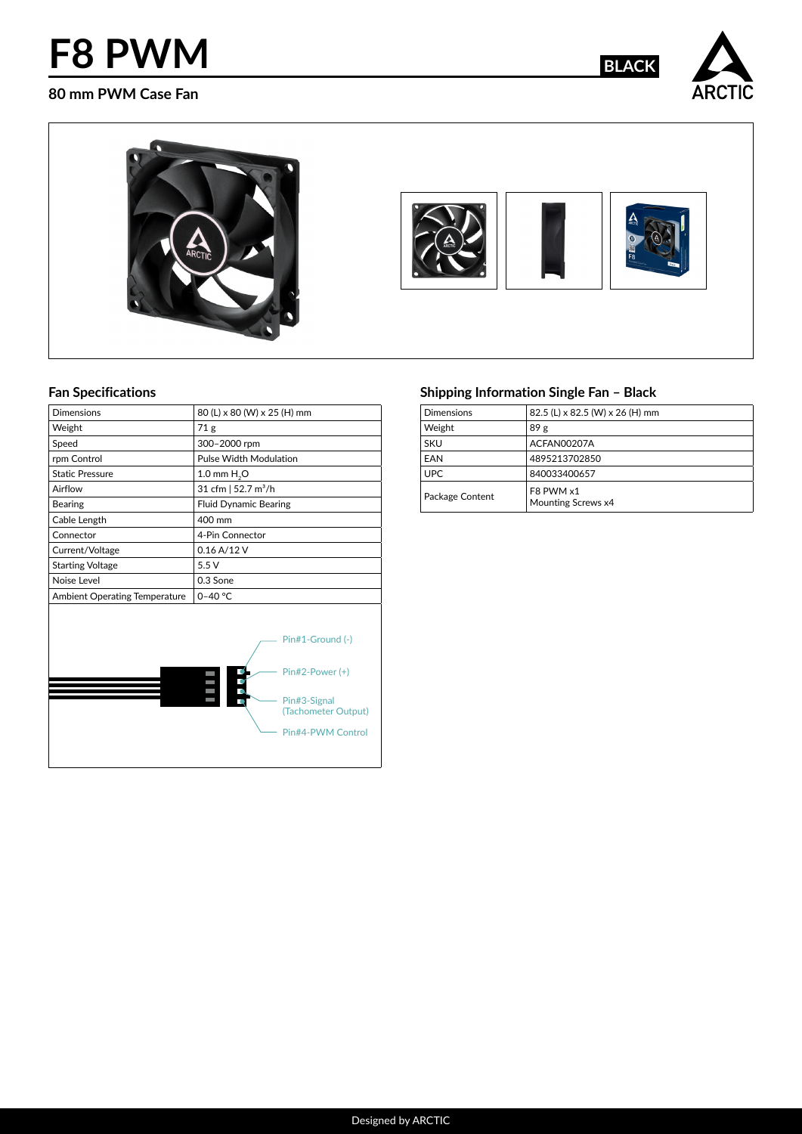## **F8 PWM BLACK**

#### **80 mm PWM Case Fan**





#### **Fan Specifications**

| <b>Dimensions</b>                    | 80 (L) x 80 (W) x 25 (H) mm                                                                                                 |
|--------------------------------------|-----------------------------------------------------------------------------------------------------------------------------|
| Weight                               | 71 <sub>g</sub>                                                                                                             |
| Speed                                | 300-2000 rpm                                                                                                                |
| rpm Control                          | Pulse Width Modulation                                                                                                      |
| <b>Static Pressure</b>               | 1.0 mm $H2O$                                                                                                                |
| Airflow                              | 31 cfm   52.7 m <sup>3</sup> /h                                                                                             |
| Bearing                              | <b>Fluid Dynamic Bearing</b>                                                                                                |
| Cable Length                         | 400 mm                                                                                                                      |
| Connector                            | 4-Pin Connector                                                                                                             |
| Current/Voltage                      | 0.16 A/12 V                                                                                                                 |
| <b>Starting Voltage</b>              | 5.5V                                                                                                                        |
| Noise Level                          | 0.3 Sone                                                                                                                    |
| <b>Ambient Operating Temperature</b> | $0 - 40 °C$                                                                                                                 |
|                                      | Pin#1-Ground (-)<br>$Pin#2-Power (+)$<br>80 E<br>$\overline{0}$<br>Pin#3-Signal<br>(Tachometer Output)<br>Pin#4-PWM Control |
|                                      |                                                                                                                             |

### **Shipping Information Single Fan – Black**

| <b>Dimensions</b> | 82.5 (L) x 82.5 (W) x 26 (H) mm |
|-------------------|---------------------------------|
| Weight            | 89 <sub>g</sub>                 |
| SKU               | ACFAN00207A                     |
| <b>FAN</b>        | 4895213702850                   |
| UPC.              | 840033400657                    |
| Package Content   | F8 PWM x1<br>Mounting Screws x4 |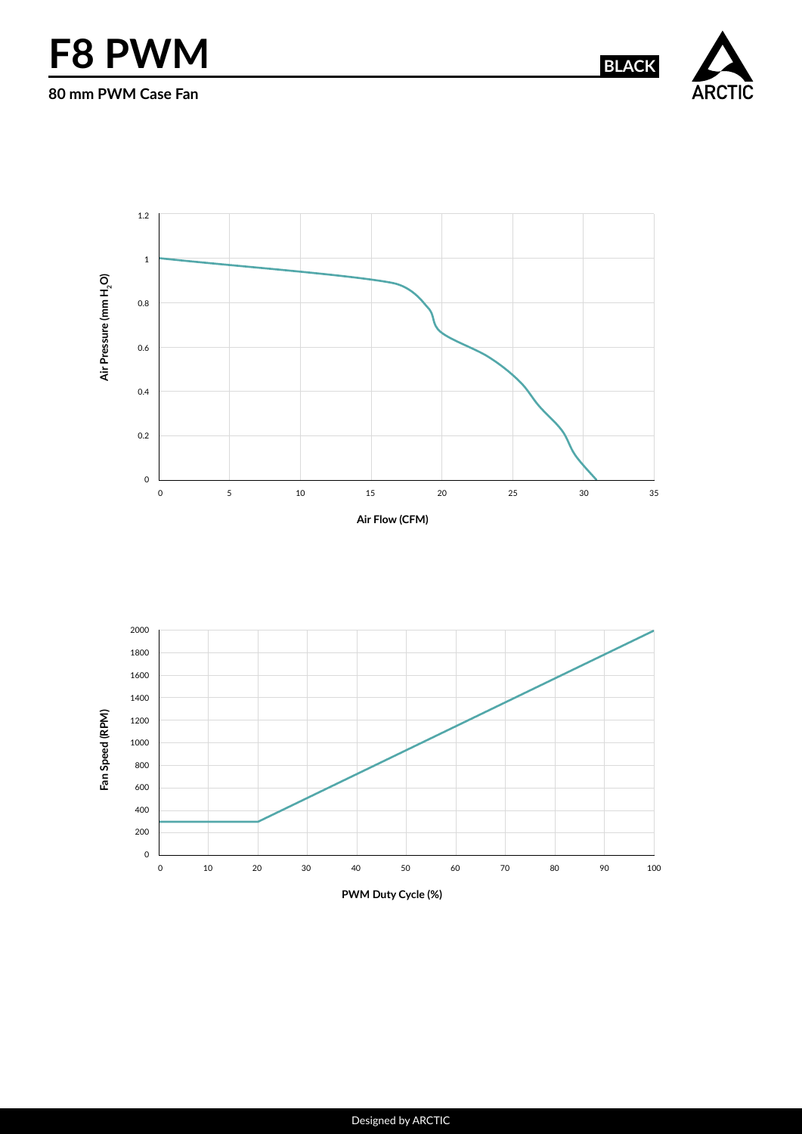# **F8 PWM BLACK**

**80 mm PWM Case Fan**